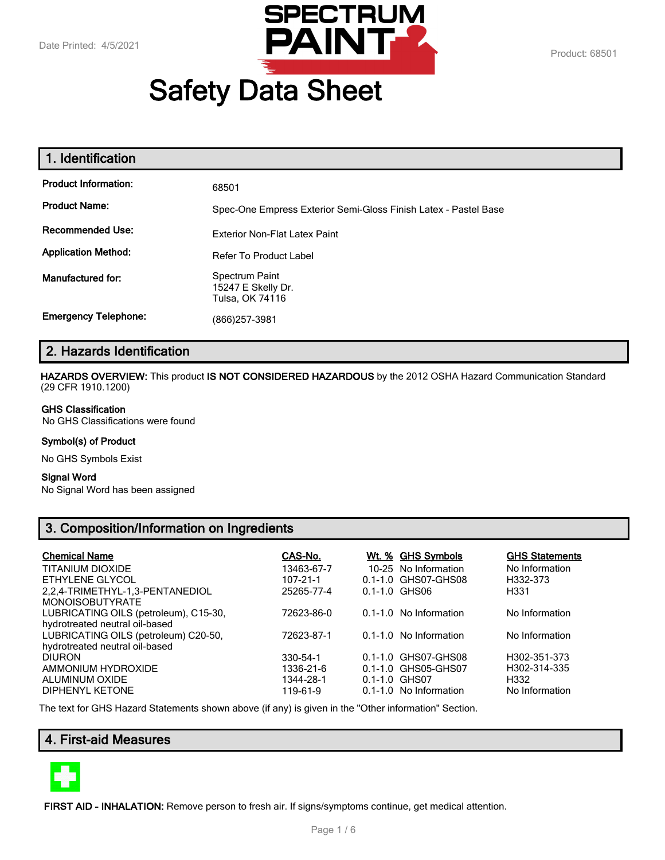

# **Safety Data Sheet**

| 1. Identification           |                                                                 |
|-----------------------------|-----------------------------------------------------------------|
| <b>Product Information:</b> | 68501                                                           |
| <b>Product Name:</b>        | Spec-One Empress Exterior Semi-Gloss Finish Latex - Pastel Base |
| <b>Recommended Use:</b>     | <b>Exterior Non-Flat Latex Paint</b>                            |
| <b>Application Method:</b>  | Refer To Product Label                                          |
| Manufactured for:           | Spectrum Paint<br>15247 E Skelly Dr.<br>Tulsa, OK 74116         |
| <b>Emergency Telephone:</b> | (866)257-3981                                                   |

# **2. Hazards Identification**

**HAZARDS OVERVIEW:** This product **IS NOT CONSIDERED HAZARDOUS** by the 2012 OSHA Hazard Communication Standard (29 CFR 1910.1200)

#### **GHS Classification**

No GHS Classifications were found

#### **Symbol(s) of Product**

No GHS Symbols Exist

#### **Signal Word**

No Signal Word has been assigned

# **3. Composition/Information on Ingredients**

| <b>Chemical Name</b><br><b>TITANIUM DIOXIDE</b><br>ETHYLENE GLYCOL<br>2,2,4-TRIMETHYL-1,3-PENTANEDIOL<br><b>MONOISOBUTYRATE</b> | CAS-No.<br>13463-67-7<br>$107 - 21 - 1$<br>25265-77-4 | $0.1 - 1.0$ GHS06 | <u>Wt. % GHS Symbols</u><br>10-25 No Information<br>0.1-1.0 GHS07-GHS08 | <b>GHS Statements</b><br>No Information<br>H332-373<br>H <sub>331</sub> |
|---------------------------------------------------------------------------------------------------------------------------------|-------------------------------------------------------|-------------------|-------------------------------------------------------------------------|-------------------------------------------------------------------------|
| LUBRICATING OILS (petroleum), C15-30,<br>hydrotreated neutral oil-based                                                         | 72623-86-0                                            |                   | $0.1 - 1.0$ No Information                                              | No Information                                                          |
| LUBRICATING OILS (petroleum) C20-50,<br>hydrotreated neutral oil-based                                                          | 72623-87-1                                            |                   | 0.1-1.0 No Information                                                  | No Information                                                          |
| <b>DIURON</b><br>AMMONIUM HYDROXIDE<br>ALUMINUM OXIDE<br><b>DIPHENYL KETONE</b>                                                 | 330-54-1<br>1336-21-6<br>1344-28-1<br>119-61-9        | 0.1-1.0 GHS07     | 0.1-1.0 GHS07-GHS08<br>0.1-1.0 GHS05-GHS07<br>0.1-1.0 No Information    | H302-351-373<br>H302-314-335<br>H332<br>No Information                  |

The text for GHS Hazard Statements shown above (if any) is given in the "Other information" Section.

# **4. First-aid Measures**



**FIRST AID - INHALATION:** Remove person to fresh air. If signs/symptoms continue, get medical attention.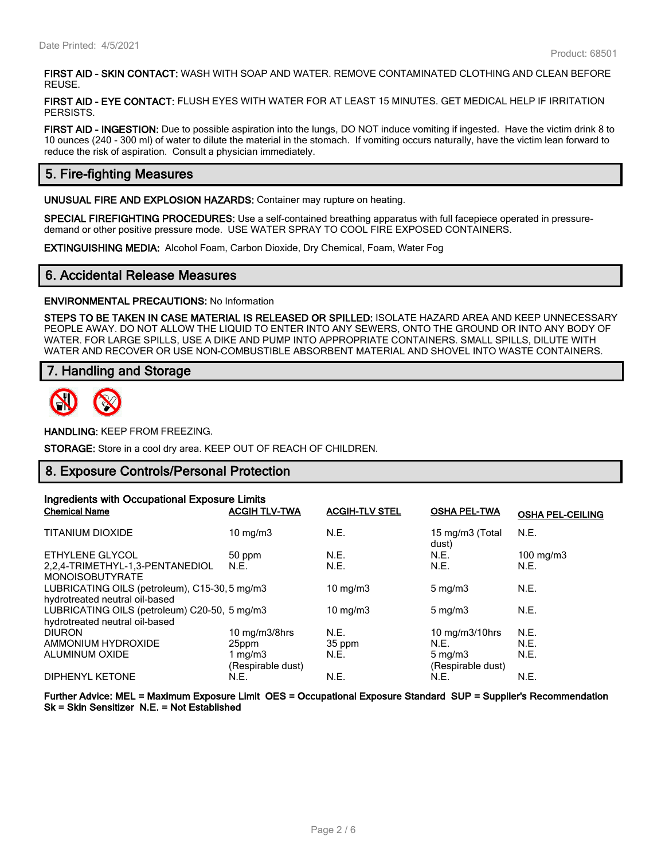**FIRST AID - SKIN CONTACT:** WASH WITH SOAP AND WATER. REMOVE CONTAMINATED CLOTHING AND CLEAN BEFORE REUSE.

**FIRST AID - EYE CONTACT:** FLUSH EYES WITH WATER FOR AT LEAST 15 MINUTES. GET MEDICAL HELP IF IRRITATION PERSISTS.

**FIRST AID - INGESTION:** Due to possible aspiration into the lungs, DO NOT induce vomiting if ingested. Have the victim drink 8 to 10 ounces (240 - 300 ml) of water to dilute the material in the stomach. If vomiting occurs naturally, have the victim lean forward to reduce the risk of aspiration. Consult a physician immediately.

# **5. Fire-fighting Measures**

**UNUSUAL FIRE AND EXPLOSION HAZARDS:** Container may rupture on heating.

**SPECIAL FIREFIGHTING PROCEDURES:** Use a self-contained breathing apparatus with full facepiece operated in pressuredemand or other positive pressure mode. USE WATER SPRAY TO COOL FIRE EXPOSED CONTAINERS.

**EXTINGUISHING MEDIA:** Alcohol Foam, Carbon Dioxide, Dry Chemical, Foam, Water Fog

#### **6. Accidental Release Measures**

**ENVIRONMENTAL PRECAUTIONS:** No Information

**STEPS TO BE TAKEN IN CASE MATERIAL IS RELEASED OR SPILLED:** ISOLATE HAZARD AREA AND KEEP UNNECESSARY PEOPLE AWAY. DO NOT ALLOW THE LIQUID TO ENTER INTO ANY SEWERS, ONTO THE GROUND OR INTO ANY BODY OF WATER. FOR LARGE SPILLS, USE A DIKE AND PUMP INTO APPROPRIATE CONTAINERS. SMALL SPILLS, DILUTE WITH WATER AND RECOVER OR USE NON-COMBUSTIBLE ABSORBENT MATERIAL AND SHOVEL INTO WASTE CONTAINERS.

#### **7. Handling and Storage**



**HANDLING:** KEEP FROM FREEZING.

**STORAGE:** Store in a cool dry area. KEEP OUT OF REACH OF CHILDREN.

#### **8. Exposure Controls/Personal Protection**

| Ingredients with Occupational Exposure Limits                                   |                                 |                       |                                       |                         |
|---------------------------------------------------------------------------------|---------------------------------|-----------------------|---------------------------------------|-------------------------|
| <b>Chemical Name</b>                                                            | <b>ACGIH TLV-TWA</b>            | <b>ACGIH-TLV STEL</b> | <b>OSHA PEL-TWA</b>                   | <b>OSHA PEL-CEILING</b> |
| <b>TITANIUM DIOXIDE</b>                                                         | $10 \text{ mg/m}$               | N.E.                  | 15 mg/m3 (Total<br>dust)              | N.E.                    |
| ETHYLENE GLYCOL                                                                 | 50 ppm                          | N.E.                  | N.E.                                  | $100 \text{ mg/m}$      |
| 2.2.4-TRIMETHYL-1.3-PENTANEDIOL<br><b>MONOISOBUTYRATE</b>                       | N.E.                            | N.E.                  | N.E.                                  | N.E.                    |
| LUBRICATING OILS (petroleum), C15-30, 5 mg/m3<br>hydrotreated neutral oil-based |                                 | $10 \text{ mg/m}$     | $5 \text{ mg/m}$                      | N.E.                    |
| LUBRICATING OILS (petroleum) C20-50, 5 mg/m3<br>hydrotreated neutral oil-based  |                                 | $10 \text{ mg/m}$     | $5 \text{ mg/m}$                      | N.E.                    |
| <b>DIURON</b>                                                                   | 10 mg/m3/8hrs                   | N.E.                  | 10 mg/m3/10hrs                        | N.E.                    |
| AMMONIUM HYDROXIDE                                                              | 25ppm                           | 35 ppm                | N.E.                                  | N.E.                    |
| ALUMINUM OXIDE                                                                  | 1 mg/m $3$<br>(Respirable dust) | N.E.                  | $5 \text{ mg/m}$<br>(Respirable dust) | N.E.                    |
| <b>DIPHENYL KETONE</b>                                                          | N.E.                            | N.E.                  | N.E.                                  | N.E.                    |

**Further Advice: MEL = Maximum Exposure Limit OES = Occupational Exposure Standard SUP = Supplier's Recommendation Sk = Skin Sensitizer N.E. = Not Established**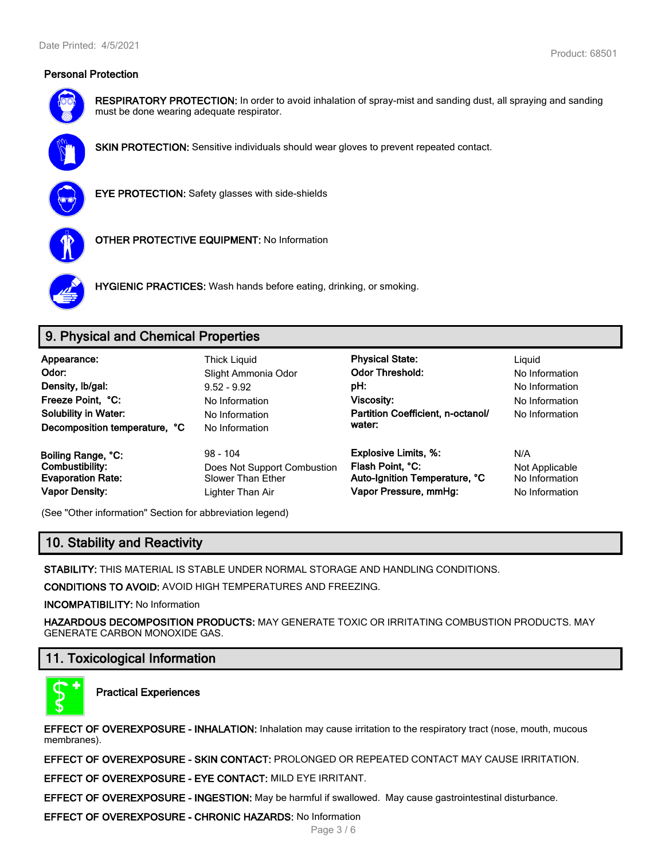

**RESPIRATORY PROTECTION:** In order to avoid inhalation of spray-mist and sanding dust, all spraying and sanding must be done wearing adequate respirator.



**SKIN PROTECTION:** Sensitive individuals should wear gloves to prevent repeated contact.



**EYE PROTECTION:** Safety glasses with side-shields



**OTHER PROTECTIVE EQUIPMENT:** No Information



**HYGIENIC PRACTICES:** Wash hands before eating, drinking, or smoking.

# **9. Physical and Chemical Properties**

| Appearance:<br>Odor:<br>Density, Ib/gal:<br>Freeze Point, °C:<br><b>Solubility in Water:</b><br>Decomposition temperature, °C | <b>Thick Liguid</b><br>Slight Ammonia Odor<br>$9.52 - 9.92$<br>No Information<br>No Information<br>No Information | <b>Physical State:</b><br><b>Odor Threshold:</b><br>pH:<br><b>Viscosity:</b><br>Partition Coefficient, n-octanol/<br>water: | Liguid<br>No Information<br>No Information<br>No Information<br>No Information |
|-------------------------------------------------------------------------------------------------------------------------------|-------------------------------------------------------------------------------------------------------------------|-----------------------------------------------------------------------------------------------------------------------------|--------------------------------------------------------------------------------|
| Boiling Range, °C:                                                                                                            | $98 - 104$                                                                                                        | <b>Explosive Limits, %:</b>                                                                                                 | N/A                                                                            |
| Combustibility:                                                                                                               | Does Not Support Combustion                                                                                       | Flash Point, °C:                                                                                                            | Not Applicable                                                                 |
| <b>Evaporation Rate:</b>                                                                                                      | Slower Than Ether                                                                                                 | Auto-Ignition Temperature, °C                                                                                               | No Information                                                                 |
| <b>Vapor Density:</b>                                                                                                         | Lighter Than Air                                                                                                  | Vapor Pressure, mmHg:                                                                                                       | No Information                                                                 |

(See "Other information" Section for abbreviation legend)

# **10. Stability and Reactivity**

**STABILITY:** THIS MATERIAL IS STABLE UNDER NORMAL STORAGE AND HANDLING CONDITIONS.

**CONDITIONS TO AVOID:** AVOID HIGH TEMPERATURES AND FREEZING.

**INCOMPATIBILITY:** No Information

**HAZARDOUS DECOMPOSITION PRODUCTS:** MAY GENERATE TOXIC OR IRRITATING COMBUSTION PRODUCTS. MAY GENERATE CARBON MONOXIDE GAS.

# **11. Toxicological Information**



**Practical Experiences**

**EFFECT OF OVEREXPOSURE - INHALATION:** Inhalation may cause irritation to the respiratory tract (nose, mouth, mucous membranes).

**EFFECT OF OVEREXPOSURE - SKIN CONTACT:** PROLONGED OR REPEATED CONTACT MAY CAUSE IRRITATION.

**EFFECT OF OVEREXPOSURE - EYE CONTACT:** MILD EYE IRRITANT.

**EFFECT OF OVEREXPOSURE - INGESTION:** May be harmful if swallowed. May cause gastrointestinal disturbance.

**EFFECT OF OVEREXPOSURE - CHRONIC HAZARDS:** No Information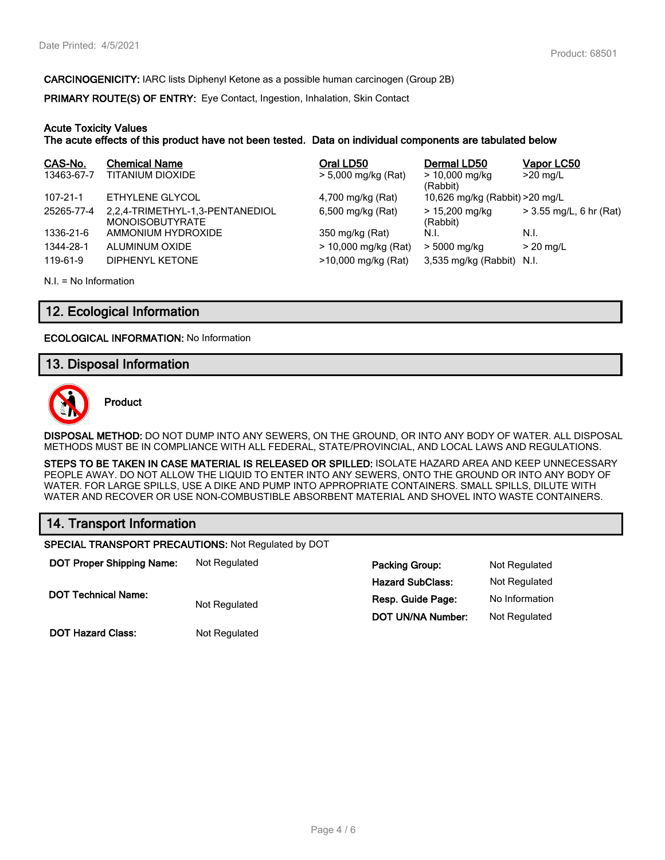**CARCINOGENICITY:** IARC lists Diphenyl Ketone as a possible human carcinogen (Group 2B)

**PRIMARY ROUTE(S) OF ENTRY:** Eye Contact, Ingestion, Inhalation, Skin Contact

#### **Acute Toxicity Values**

**The acute effects of this product have not been tested. Data on individual components are tabulated below**

| CAS-No.    | <b>Chemical Name</b>                                      | Oral LD50            | Dermal LD50                     | Vapor LC50                |
|------------|-----------------------------------------------------------|----------------------|---------------------------------|---------------------------|
| 13463-67-7 | TITANIUM DIOXIDE                                          | > 5,000 mg/kg (Rat)  | $> 10,000$ mg/kg<br>(Rabbit)    | $>20$ mg/L                |
| 107-21-1   | ETHYLENE GLYCOL                                           | 4,700 mg/kg (Rat)    | 10,626 mg/kg (Rabbit) > 20 mg/L |                           |
| 25265-77-4 | 2,2,4-TRIMETHYL-1,3-PENTANEDIOL<br><b>MONOISOBUTYRATE</b> | 6,500 mg/kg (Rat)    | $> 15,200$ mg/kg<br>(Rabbit)    | $>$ 3.55 mg/L, 6 hr (Rat) |
| 1336-21-6  | AMMONIUM HYDROXIDE                                        | 350 mg/kg (Rat)      | N.I.                            | N.I.                      |
| 1344-28-1  | ALUMINUM OXIDE                                            | > 10,000 mg/kg (Rat) | > 5000 mg/kg                    | $>$ 20 mg/L               |
| 119-61-9   | DIPHENYL KETONE                                           | >10,000 mg/kg (Rat)  | 3,535 mg/kg (Rabbit) N.I.       |                           |

N.I. = No Information

## **12. Ecological Information**

**ECOLOGICAL INFORMATION:** No Information

# **13. Disposal Information**



**Product**

**DISPOSAL METHOD:** DO NOT DUMP INTO ANY SEWERS, ON THE GROUND, OR INTO ANY BODY OF WATER. ALL DISPOSAL METHODS MUST BE IN COMPLIANCE WITH ALL FEDERAL, STATE/PROVINCIAL, AND LOCAL LAWS AND REGULATIONS.

**STEPS TO BE TAKEN IN CASE MATERIAL IS RELEASED OR SPILLED:** ISOLATE HAZARD AREA AND KEEP UNNECESSARY PEOPLE AWAY. DO NOT ALLOW THE LIQUID TO ENTER INTO ANY SEWERS, ONTO THE GROUND OR INTO ANY BODY OF WATER. FOR LARGE SPILLS, USE A DIKE AND PUMP INTO APPROPRIATE CONTAINERS. SMALL SPILLS, DILUTE WITH WATER AND RECOVER OR USE NON-COMBUSTIBLE ABSORBENT MATERIAL AND SHOVEL INTO WASTE CONTAINERS.

# **14. Transport Information**

**SPECIAL TRANSPORT PRECAUTIONS:** Not Regulated by DOT

| <b>DOT Proper Shipping Name:</b> | Not Regulated | <b>Packing Group:</b>    | Not Regulated  |
|----------------------------------|---------------|--------------------------|----------------|
|                                  |               | <b>Hazard SubClass:</b>  | Not Regulated  |
| <b>DOT Technical Name:</b>       | Not Regulated | Resp. Guide Page:        | No Information |
|                                  |               | <b>DOT UN/NA Number:</b> | Not Regulated  |
| <b>DOT Hazard Class:</b>         | Not Regulated |                          |                |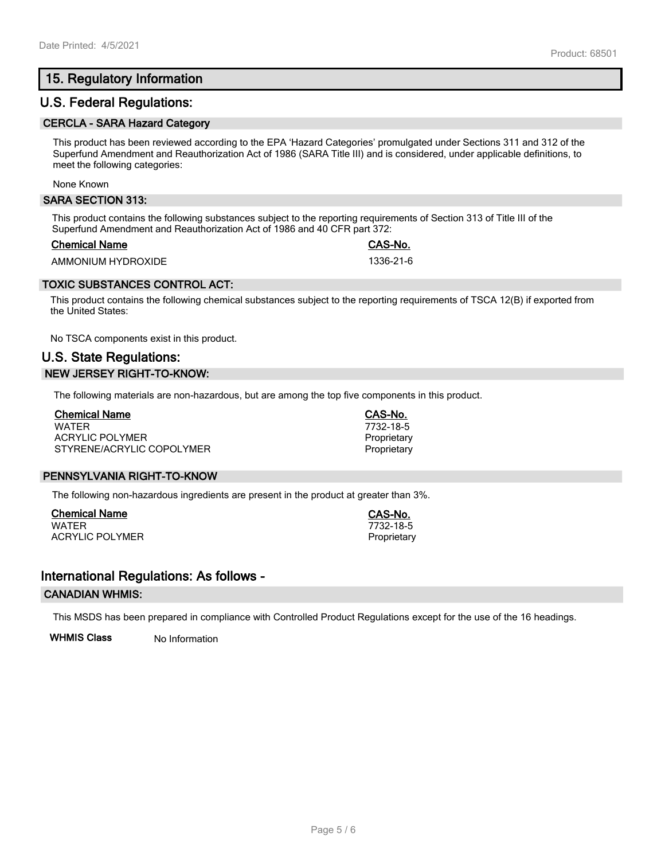# **15. Regulatory Information**

# **U.S. Federal Regulations:**

#### **CERCLA - SARA Hazard Category**

This product has been reviewed according to the EPA 'Hazard Categories' promulgated under Sections 311 and 312 of the Superfund Amendment and Reauthorization Act of 1986 (SARA Title III) and is considered, under applicable definitions, to meet the following categories:

None Known

#### **SARA SECTION 313:**

This product contains the following substances subject to the reporting requirements of Section 313 of Title III of the Superfund Amendment and Reauthorization Act of 1986 and 40 CFR part 372:

#### **Chemical Name CAS-No.**

AMMONIUM HYDROXIDE 1336-21-6

#### **TOXIC SUBSTANCES CONTROL ACT:**

This product contains the following chemical substances subject to the reporting requirements of TSCA 12(B) if exported from the United States:

No TSCA components exist in this product.

# **U.S. State Regulations: NEW JERSEY RIGHT-TO-KNOW:**

The following materials are non-hazardous, but are among the top five components in this product.

| <b>Chemical Name</b>      |  |
|---------------------------|--|
| <b>WATFR</b>              |  |
| ACRYLIC POLYMER           |  |
| STYRENE/ACRYLIC COPOLYMER |  |

#### **PENNSYLVANIA RIGHT-TO-KNOW**

The following non-hazardous ingredients are present in the product at greater than 3%.

**Chemical Name CAS-No.** ACRYLIC POLYMER **Proprietary** Proprietary

## **International Regulations: As follows -**

#### **CANADIAN WHMIS:**

This MSDS has been prepared in compliance with Controlled Product Regulations except for the use of the 16 headings.

**WHMIS Class** No Information

**Chemical Name CAS-No.** WATER 7732-18-5 Proprietary Proprietary

 $7732 - 18 - 5$